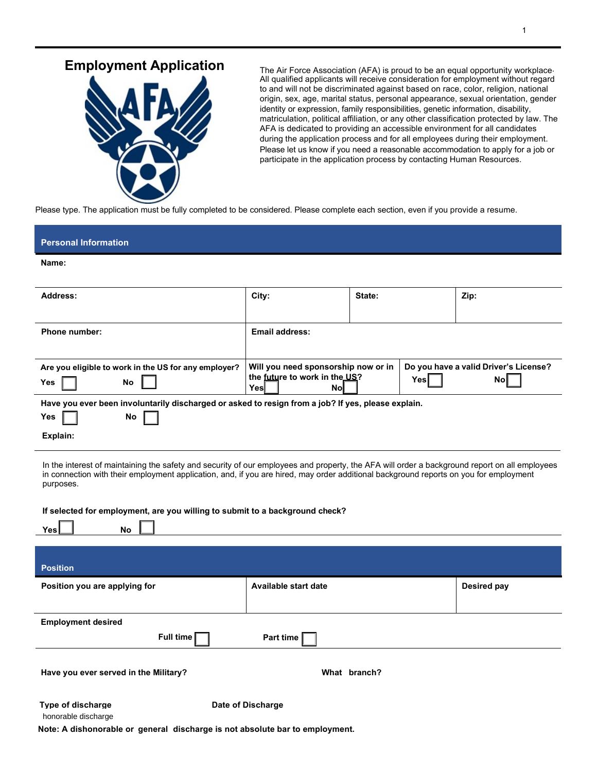## **Employment Application** The Air Force Association (AFA) is proud to be an equal opportunity workplace.



All qualified applicants will receive consideration for employment without regard to and will not be discriminated against based on race, color, religion, national origin, sex, age, marital status, personal appearance, sexual orientation, gender identity or expression, family responsibilities, genetic information, disability, matriculation, political affiliation, or any other classification protected by law. The AFA is dedicated to providing an accessible environment for all candidates during the application process and for all employees during their employment. Please let us know if you need a reasonable accommodation to apply for a job or participate in the application process by contacting Human Resources.

Please type. The application must be fully completed to be considered. Please complete each section, even if you provide a resume.

# **Personal Information**

#### **Name:**

| Address:                                                                                           | City:                                        | State: | Zip:                                  |
|----------------------------------------------------------------------------------------------------|----------------------------------------------|--------|---------------------------------------|
|                                                                                                    |                                              |        |                                       |
| Phone number:                                                                                      | Email address:                               |        |                                       |
|                                                                                                    |                                              |        |                                       |
| Are you eligible to work in the US for any employer?                                               | Will you need sponsorship now or in          |        | Do you have a valid Driver's License? |
| Yes<br>No                                                                                          | the future to work in the US?<br>Yesl<br>Nol | Yesl   | Nol                                   |
| Have you ever been involuntarily discharged or asked to resign from a job? If yes, please explain. |                                              |        |                                       |
| No<br>Yes                                                                                          |                                              |        |                                       |
| Explain:                                                                                           |                                              |        |                                       |

In the interest of maintaining the safety and security of our employees and property, the AFA will order a background report on all employees in connection with their employment application, and, if you are hired, may order additional background reports on you for employment purposes.

#### **If selected for employment, are you willing to submit to a background check?**

| No<br>Yes                                       |                      |                    |
|-------------------------------------------------|----------------------|--------------------|
| <b>Position</b>                                 |                      |                    |
| Position you are applying for                   | Available start date | <b>Desired pay</b> |
|                                                 |                      |                    |
| <b>Employment desired</b>                       |                      |                    |
| Full time $\Gamma$                              | Part time            |                    |
| Have you ever served in the Military?           | What branch?         |                    |
| <b>Type of discharge</b><br>honorable discharge | Date of Discharge    |                    |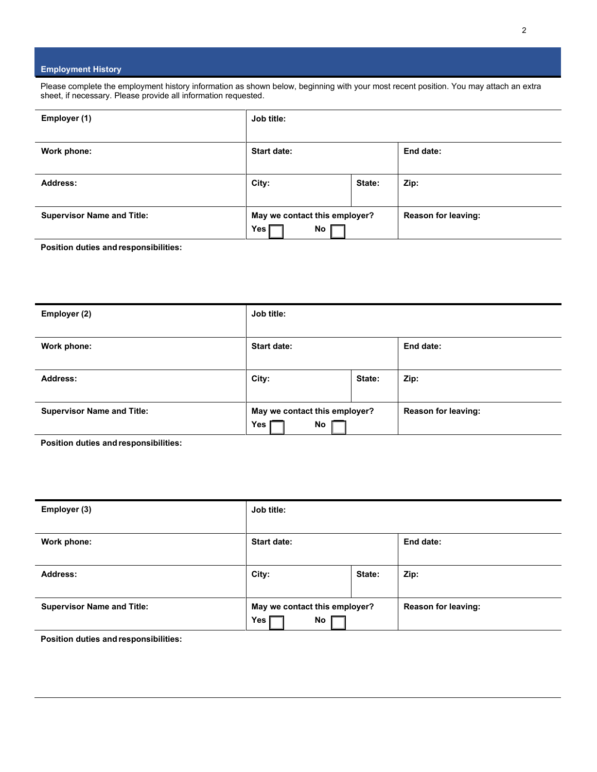### **Employment History**

Please complete the employment history information as shown below, beginning with your most recent position. You may attach an extra sheet, if necessary. Please provide all information requested.

| Employer (1)                      | Job title:                                   |        |                            |
|-----------------------------------|----------------------------------------------|--------|----------------------------|
| Work phone:                       | <b>Start date:</b>                           |        | End date:                  |
| Address:                          | City:                                        | State: | Zip:                       |
| <b>Supervisor Name and Title:</b> | May we contact this employer?<br>No<br>Yes [ |        | <b>Reason for leaving:</b> |

**Position duties and responsibilities:**

| Employer (2)                      | Job title:                                 |        |                            |  |
|-----------------------------------|--------------------------------------------|--------|----------------------------|--|
| Work phone:                       | Start date:                                |        | End date:                  |  |
| <b>Address:</b>                   | City:                                      | State: | Zip:                       |  |
| <b>Supervisor Name and Title:</b> | May we contact this employer?<br>No<br>Yes |        | <b>Reason for leaving:</b> |  |

**Position duties and responsibilities:**

| Employer (3)                      | Job title:                                 |        |                            |  |
|-----------------------------------|--------------------------------------------|--------|----------------------------|--|
| Work phone:                       | Start date:                                |        | End date:                  |  |
| <b>Address:</b>                   | City:                                      | State: | Zip:                       |  |
| <b>Supervisor Name and Title:</b> | May we contact this employer?<br>No<br>Yes |        | <b>Reason for leaving:</b> |  |

**Position duties and responsibilities:**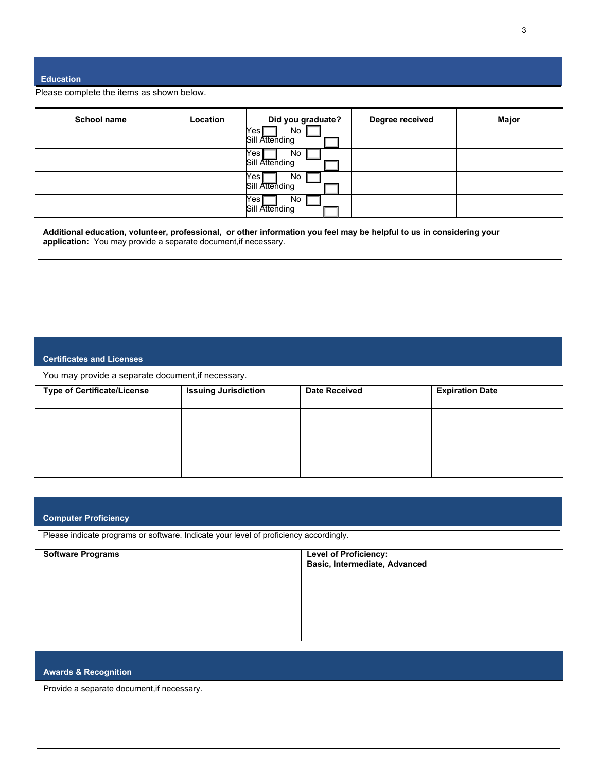#### **Education**

Please complete the items as shown below.

| <b>School name</b> | Location | Did you graduate?                         | Degree received | Major |
|--------------------|----------|-------------------------------------------|-----------------|-------|
|                    |          | Yes<br>No<br>Sill Attending               |                 |       |
|                    |          | Yes<br>No<br>Sill Attending               |                 |       |
|                    |          | Yes,<br>No<br>Sill Attending              |                 |       |
|                    |          | Yes <sub>l</sub><br>No.<br>Sill Attending |                 |       |

**Additional education, volunteer, professional, or other information you feel may be helpful to us in considering your application:** You may provide a separate document,if necessary.

### **Certificates and Licenses**

You may provide a separate document,if necessary.

| <b>Type of Certificate/License</b> | <b>Issuing Jurisdiction</b> | <b>Date Received</b> | <b>Expiration Date</b> |
|------------------------------------|-----------------------------|----------------------|------------------------|
|                                    |                             |                      |                        |
|                                    |                             |                      |                        |
|                                    |                             |                      |                        |

### **Computer Proficiency**

Please indicate programs or software. Indicate your level of proficiency accordingly.

| <b>Software Programs</b> | Level of Proficiency:<br>Basic, Intermediate, Advanced |
|--------------------------|--------------------------------------------------------|
|                          |                                                        |
|                          |                                                        |
|                          |                                                        |

### **Awards & Recognition**

Provide a separate document,if necessary.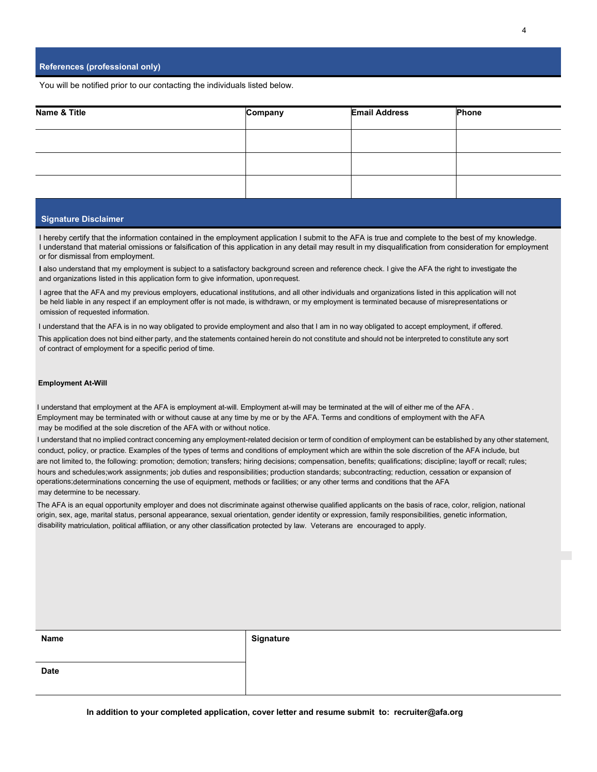You will be notified prior to our contacting the individuals listed below.

| Name & Title | Company | <b>Email Address</b> | Phone |
|--------------|---------|----------------------|-------|
|              |         |                      |       |
|              |         |                      |       |
|              |         |                      |       |

#### **Signature Disclaimer**

I hereby certify that the information contained in the employment application I submit to the AFA is true and complete to the best of my knowledge. I understand that material omissions or falsification of this application in any detail may result in my disqualification from consideration for employment or for dismissal from employment.

**I** also understand that my employment is subject to a satisfactory background screen and reference check. I give the AFA the right to investigate the and organizations listed in this application form to give information, uponrequest.

I agree that the AFA and my previous employers, educational institutions, and all other individuals and organizations listed in this application will not be held liable in any respect if an employment offer is not made, is withdrawn, or my employment is terminated because of misrepresentations or omission of requested information.

I understand that the AFA is in no way obligated to provide employment and also that I am in no way obligated to accept employment, if offered.

This application does not bind either party, and the statements contained herein do not constitute and should not be interpreted to constitute any sort of contract of employment for a specific period of time.

#### **Employment At-Will**

I understand that employment at the AFA is employment at-will. Employment at-will may be terminated at the will of either me of the AFA . Employment may be terminated with or without cause at any time by me or by the AFA. Terms and conditions of employment with the AFA may be modified at the sole discretion of the AFA with or without notice.

I understand that no implied contract concerning any employment-related decision or term of condition of employment can be established by any other statement, conduct, policy, or practice. Examples of the types of terms and conditions of employment which are within the sole discretion of the AFA include, but are not limited to, the following: promotion; demotion; transfers; hiring decisions; compensation, benefits; qualifications; discipline; layoff or recall; rules; hours and schedules;work assignments; job duties and responsibilities; production standards; subcontracting; reduction, cessation or expansion of may determine to be necessary. operations;determinations concerning the use of equipment, methods or facilities; or any other terms and conditions that the AFA

The AFA is an equal opportunity employer and does not discriminate against otherwise qualified applicants on the basis of race, color, religion, national origin, sex, age, marital status, personal appearance, sexual orientation, gender identity or expression, family responsibilities, genetic information, disability matriculation, political affiliation, or any other classification protected by law. Veterans are encouraged to apply.

|  | ш |  |
|--|---|--|
|--|---|--|

**Name Signature**

**Date**

**In addition to your completed application, cover letter and resume submit to: [recruiter@afa.org](mailto:recruiter@afa.org)**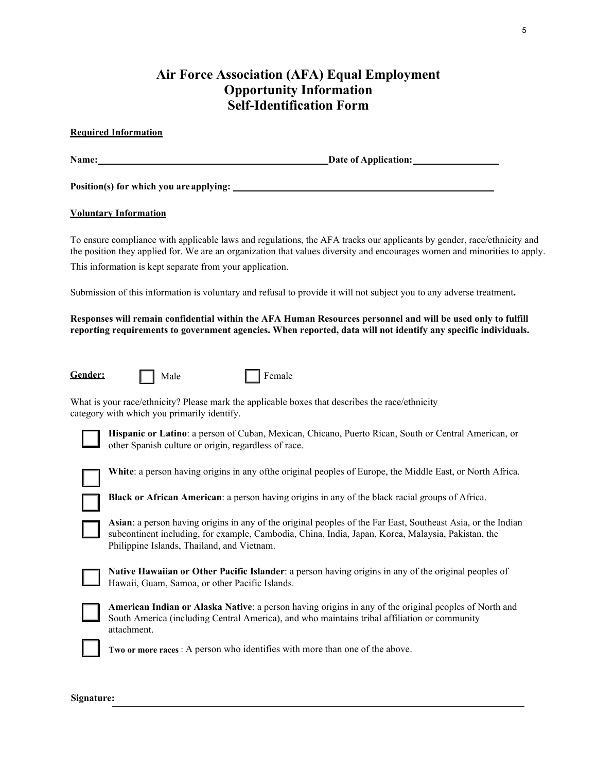## **Air Force Association (AFA) Equal Employment Opportunity Information Self-Identification Form**

### **Required Information**

Name: <u>Date of Application:</u> Date of Application:

**Position(s) for which you areapplying:**

### **Voluntary Information**

To ensure compliance with applicable laws and regulations, the AFA tracks our applicants by gender, race/ethnicity and the position they applied for. We are an organization that values diversity and encourages women and minorities to apply. This information is kept separate from your application.

Submission of this information is voluntary and refusal to provide it will not subject you to any adverse treatment**.** 

## **Responses will remain confidential within the AFA Human Resources personnel and will be used only to fulfill reporting requirements to government agencies. When reported, data will not identify any specific individuals.**

Gender: **Fig. 1.1.** Male **F** Female

What is your race/ethnicity? Please mark the applicable boxes that describes the race/ethnicity category with which you primarily identify.



**Hispanic or Latino**: a person of Cuban, Mexican, Chicano, Puerto Rican, South or Central American, or other Spanish culture or origin, regardless of race.



**White**: a person having origins in any ofthe original peoples of Europe, the Middle East, or North Africa.

**Black or African American**: a person having origins in any of the black racial groups of Africa.

**Asian**: a person having origins in any of the original peoples of the Far East, Southeast Asia, or the Indian subcontinent including, for example, Cambodia, China, India, Japan, Korea, Malaysia, Pakistan, the Philippine Islands, Thailand, and Vietnam.

**Native Hawaiian or Other Pacific Islander**: a person having origins in any of the original peoples of Hawaii, Guam, Samoa, or other Pacific Islands.



**Signature:**

**American Indian or Alaska Native**: a person having origins in any of the original peoples of North and South America (including Central America), and who maintains tribal affiliation or community attachment.

**Two or more races** : A person who identifies with more than one of the above.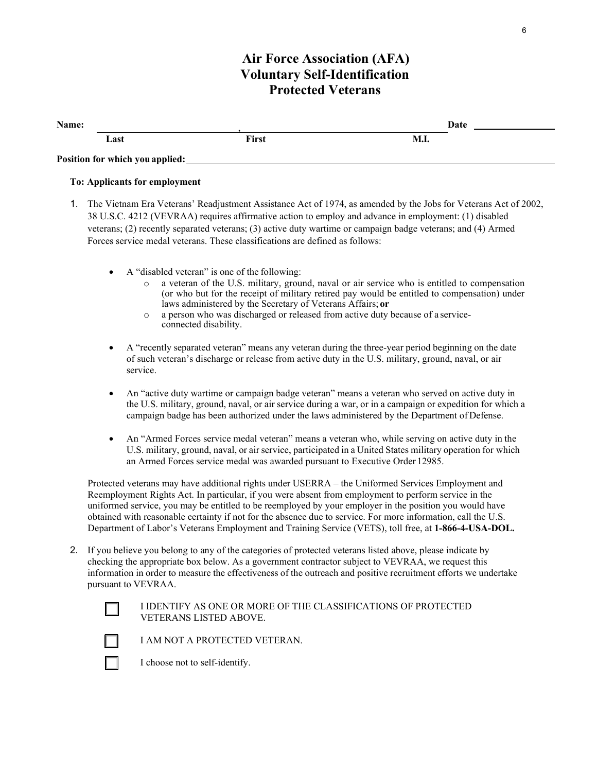## **Air Force Association (AFA) Voluntary Self-Identification Protected Veterans**

| Name: |                                 | Date  |      |  |
|-------|---------------------------------|-------|------|--|
|       | Last                            | First | M.I. |  |
|       | Position for which you applied: |       |      |  |

## **To: Applicants for employment**

- 1. The Vietnam Era Veterans' Readjustment Assistance Act of 1974, as amended by the Jobs for Veterans Act of 2002, 38 U.S.C. 4212 (VEVRAA) requires affirmative action to employ and advance in employment: (1) disabled veterans; (2) recently separated veterans; (3) active duty wartime or campaign badge veterans; and (4) Armed Forces service medal veterans. These classifications are defined as follows:
	- A "disabled veteran" is one of the following:
		- a veteran of the U.S. military, ground, naval or air service who is entitled to compensation (or who but for the receipt of military retired pay would be entitled to compensation) under laws administered by the Secretary of Veterans Affairs; **or**
		- o a person who was discharged or released from active duty because of a serviceconnected disability.
	- A "recently separated veteran" means any veteran during the three-year period beginning on the date of such veteran's discharge or release from active duty in the U.S. military, ground, naval, or air service.
	- An "active duty wartime or campaign badge veteran" means a veteran who served on active duty in the U.S. military, ground, naval, or air service during a war, or in a campaign or expedition for which a campaign badge has been authorized under the laws administered by the Department of Defense.
	- An "Armed Forces service medal veteran" means a veteran who, while serving on active duty in the U.S. military, ground, naval, or air service, participated in a United States military operation for which an Armed Forces service medal was awarded pursuant to Executive Order 12985.

Protected veterans may have additional rights under USERRA – the Uniformed Services Employment and Reemployment Rights Act. In particular, if you were absent from employment to perform service in the uniformed service, you may be entitled to be reemployed by your employer in the position you would have obtained with reasonable certainty if not for the absence due to service. For more information, call the U.S. Department of Labor's Veterans Employment and Training Service (VETS), toll free, at **1-866-4-USA-DOL.**

2. If you believe you belong to any of the categories of protected veterans listed above, please indicate by checking the appropriate box below. As a government contractor subject to VEVRAA, we request this information in order to measure the effectiveness of the outreach and positive recruitment efforts we undertake pursuant to VEVRAA.

## I IDENTIFY AS ONE OR MORE OF THE CLASSIFICATIONS OF PROTECTED VETERANS LISTED ABOVE.

I AM NOT A PROTECTED VETERAN.

 $\lfloor$   $\rfloor$ 

I choose not to self-identify.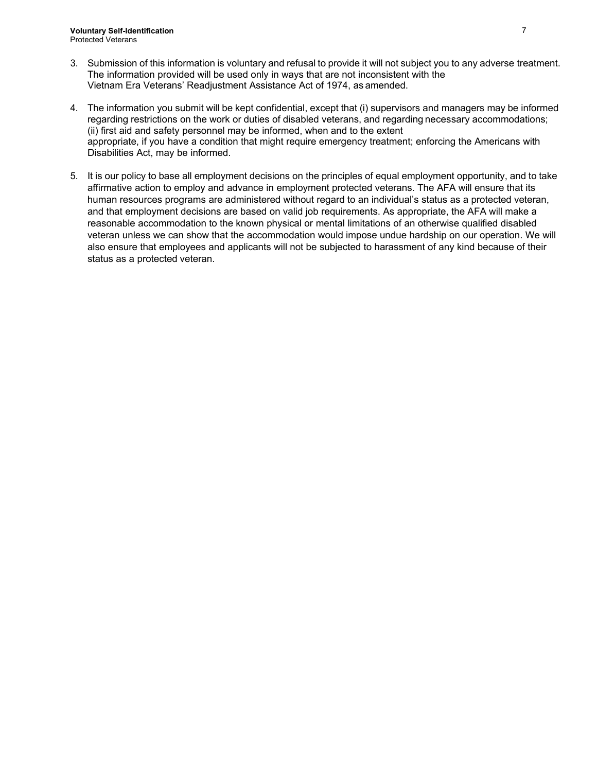- 3. Submission of this information is voluntary and refusal to provide it will not subject you to any adverse treatment. The information provided will be used only in ways that are not inconsistent with the Vietnam Era Veterans' Readjustment Assistance Act of 1974, as amended.
- 4. The information you submit will be kept confidential, except that (i) supervisors and managers may be informed regarding restrictions on the work or duties of disabled veterans, and regarding necessary accommodations; (ii) first aid and safety personnel may be informed, when and to the extent appropriate, if you have a condition that might require emergency treatment; enforcing the Americans with Disabilities Act, may be informed.
- 5. It is our policy to base all employment decisions on the principles of equal employment opportunity, and to take affirmative action to employ and advance in employment protected veterans. The AFA will ensure that its human resources programs are administered without regard to an individual's status as a protected veteran, and that employment decisions are based on valid job requirements. As appropriate, the AFA will make a reasonable accommodation to the known physical or mental limitations of an otherwise qualified disabled veteran unless we can show that the accommodation would impose undue hardship on our operation. We will also ensure that employees and applicants will not be subjected to harassment of any kind because of their status as a protected veteran.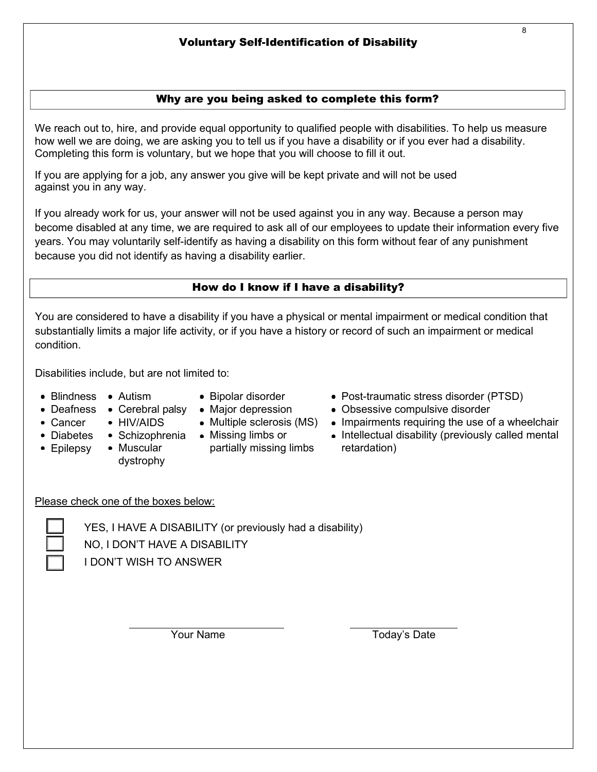## Why are you being asked to complete this form?

We reach out to, hire, and provide equal opportunity to qualified people with disabilities. To help us measure how well we are doing, we are asking you to tell us if you have a disability or if you ever had a disability. Completing this form is voluntary, but we hope that you will choose to fill it out.

If you are applying for a job, any answer you give will be kept private and will not be used against you in any way.

If you already work for us, your answer will not be used against you in any way. Because a person may become disabled at any time, we are required to ask all of our employees to update their information every five years. You may voluntarily self-identify as having a disability on this form without fear of any punishment because you did not identify as having a disability earlier.

## How do I know if I have a disability?

You are considered to have a disability if you have a physical or mental impairment or medical condition that substantially limits a major life activity, or if you have a history or record of such an impairment or medical condition.

Disabilities include, but are not limited to:

Blindness Autism

• Cancer

• Epilepsy

- Bipolar disorder
- Deafness Cerebral palsy Major depression
	- Multiple sclerosis (MS)
		-
- Diabetes Schizophrenia Missing limbs or
	- Muscular dystrophy

• HIV/AIDS

- partially missing limbs
- Post-traumatic stress disorder (PTSD)
- Obsessive compulsive disorder
- Impairments requiring the use of a wheelchair
- Intellectual disability (previously called mental retardation)

Please check one of the boxes below:

YES, I HAVE A DISABILITY (or previously had a disability) NO, I DON'T HAVE A DISABILITY I DON'T WISH TO ANSWER

Your Name Today's Date

8